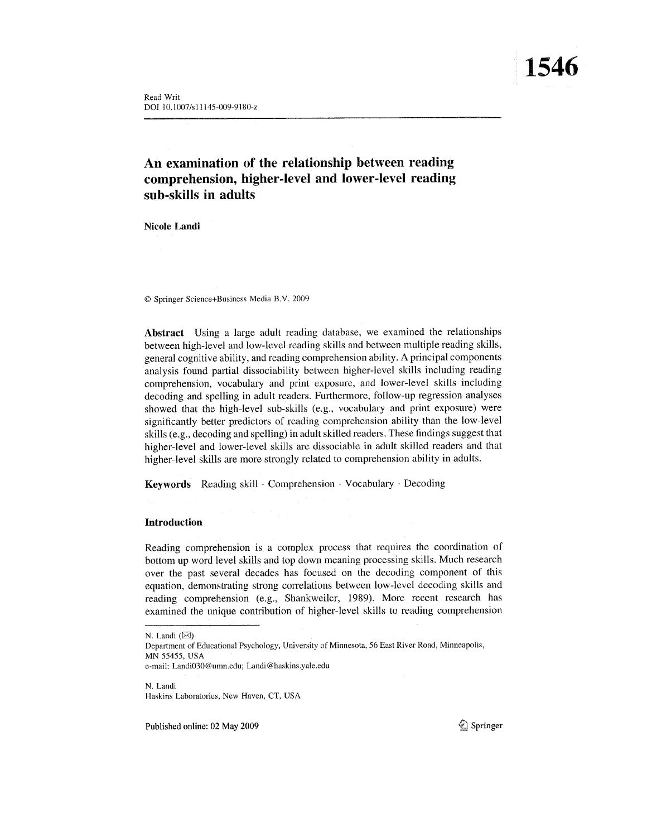# 1546

## An examination of the relationship between reading comprehension, higher-level and lower-level reading sub-skills in adults

Nicole Landi

© Springer Science+Business Media B.V. 2009

Abstract Using a large adult reading database, we examined the relationships between high-level and low-level reading skills and between multiple reading skills, general cognitive ability, and reading comprehension ability. A principal components analysis found partial dissociability between higher-level skills including reading comprehension, vocabulary and print exposure, and lower-level skills including decoding and spelling in adult readers. Furthermore, follow-up regression analyses showed that the high-level sub-skills (e.g., vocabulary and print exposure) were significantly better predictors of reading comprehension ability than the low-level skills (e.g., decoding and spelling) in adult skilled readers. These findings suggest that higher-level and lower-level skills are dissociable in adult skilled readers and that higher-level skills are more strongly related to comprehension ability in adults.

Keywords Reading skill Comprehension Vocabulary Decoding

#### **Introduction**

Reading comprehension is a complex process that requires the coordination of bottom up word level skills and top down meaning processing skills. Much research over the past several decades has focused on the decoding component of this equation, demonstrating strong correlations between low-level decoding skills and reading comprehension (e.g., Shankweiler, 1989). More recent research has examined the unique contribution of higher-level skills to reading comprehension

N. Landi Haskins Laboratories, New Haven, CT, USA

Published online: 02 May 2009

N. Landi  $(\boxtimes)$ 

Department of Educational Psychology, University of Minnesota, 56 East River Road, Minneapolis, MN 55455, USA e-mail: Landi030@umn.edu; Landi@haskins.yale.edu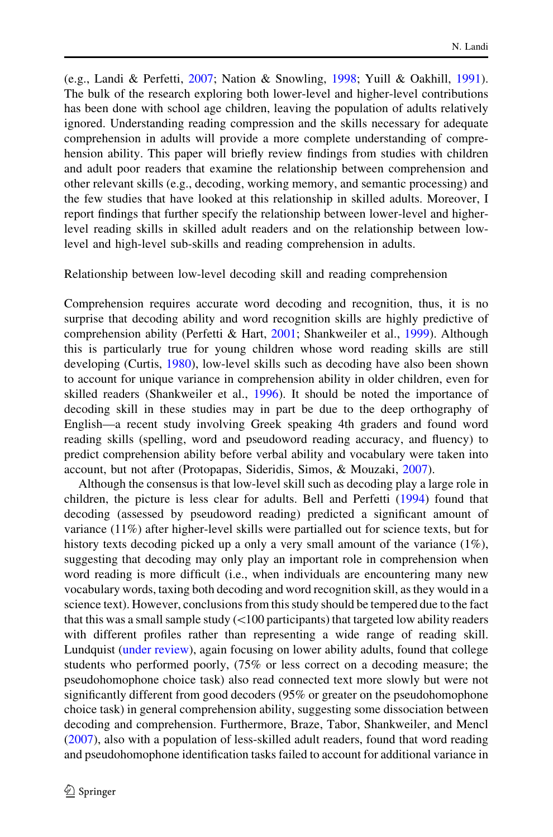(e.g., Landi & Perfetti, [2007;](#page-15-0) Nation & Snowling, [1998;](#page-15-0) Yuill & Oakhill, [1991\)](#page-16-0). The bulk of the research exploring both lower-level and higher-level contributions has been done with school age children, leaving the population of adults relatively ignored. Understanding reading compression and the skills necessary for adequate comprehension in adults will provide a more complete understanding of comprehension ability. This paper will briefly review findings from studies with children and adult poor readers that examine the relationship between comprehension and other relevant skills (e.g., decoding, working memory, and semantic processing) and the few studies that have looked at this relationship in skilled adults. Moreover, I report findings that further specify the relationship between lower-level and higherlevel reading skills in skilled adult readers and on the relationship between lowlevel and high-level sub-skills and reading comprehension in adults.

#### Relationship between low-level decoding skill and reading comprehension

Comprehension requires accurate word decoding and recognition, thus, it is no surprise that decoding ability and word recognition skills are highly predictive of comprehension ability (Perfetti & Hart, [2001;](#page-16-0) Shankweiler et al., [1999](#page-16-0)). Although this is particularly true for young children whose word reading skills are still developing (Curtis, [1980](#page-15-0)), low-level skills such as decoding have also been shown to account for unique variance in comprehension ability in older children, even for skilled readers (Shankweiler et al., [1996](#page-16-0)). It should be noted the importance of decoding skill in these studies may in part be due to the deep orthography of English—a recent study involving Greek speaking 4th graders and found word reading skills (spelling, word and pseudoword reading accuracy, and fluency) to predict comprehension ability before verbal ability and vocabulary were taken into account, but not after (Protopapas, Sideridis, Simos, & Mouzaki, [2007](#page-16-0)).

Although the consensus is that low-level skill such as decoding play a large role in children, the picture is less clear for adults. Bell and Perfetti ([1994\)](#page-14-0) found that decoding (assessed by pseudoword reading) predicted a significant amount of variance (11%) after higher-level skills were partialled out for science texts, but for history texts decoding picked up a only a very small amount of the variance  $(1\%)$ , suggesting that decoding may only play an important role in comprehension when word reading is more difficult (i.e., when individuals are encountering many new vocabulary words, taxing both decoding and word recognition skill, as they would in a science text). However, conclusions from this study should be tempered due to the fact that this was a small sample study  $\langle$  ( $\langle$ 100 participants) that targeted low ability readers with different profiles rather than representing a wide range of reading skill. Lundquist ([under review](#page-15-0)), again focusing on lower ability adults, found that college students who performed poorly, (75% or less correct on a decoding measure; the pseudohomophone choice task) also read connected text more slowly but were not significantly different from good decoders (95% or greater on the pseudohomophone choice task) in general comprehension ability, suggesting some dissociation between decoding and comprehension. Furthermore, Braze, Tabor, Shankweiler, and Mencl [\(2007](#page-14-0)), also with a population of less-skilled adult readers, found that word reading and pseudohomophone identification tasks failed to account for additional variance in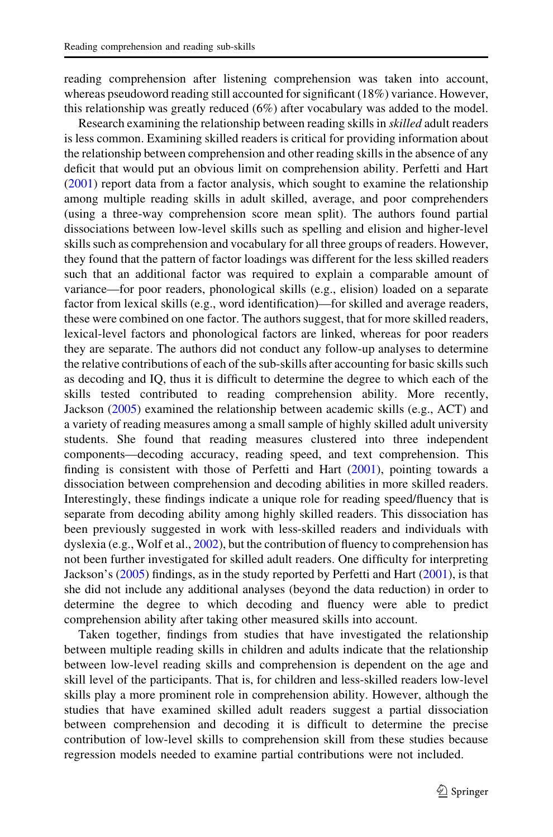reading comprehension after listening comprehension was taken into account, whereas pseudoword reading still accounted for significant (18%) variance. However, this relationship was greatly reduced (6%) after vocabulary was added to the model.

Research examining the relationship between reading skills in skilled adult readers is less common. Examining skilled readers is critical for providing information about the relationship between comprehension and other reading skills in the absence of any deficit that would put an obvious limit on comprehension ability. Perfetti and Hart [\(2001](#page-16-0)) report data from a factor analysis, which sought to examine the relationship among multiple reading skills in adult skilled, average, and poor comprehenders (using a three-way comprehension score mean split). The authors found partial dissociations between low-level skills such as spelling and elision and higher-level skills such as comprehension and vocabulary for all three groups of readers. However, they found that the pattern of factor loadings was different for the less skilled readers such that an additional factor was required to explain a comparable amount of variance—for poor readers, phonological skills (e.g., elision) loaded on a separate factor from lexical skills (e.g., word identification)—for skilled and average readers, these were combined on one factor. The authors suggest, that for more skilled readers, lexical-level factors and phonological factors are linked, whereas for poor readers they are separate. The authors did not conduct any follow-up analyses to determine the relative contributions of each of the sub-skills after accounting for basic skills such as decoding and IQ, thus it is difficult to determine the degree to which each of the skills tested contributed to reading comprehension ability. More recently, Jackson ([2005\)](#page-15-0) examined the relationship between academic skills (e.g., ACT) and a variety of reading measures among a small sample of highly skilled adult university students. She found that reading measures clustered into three independent components—decoding accuracy, reading speed, and text comprehension. This finding is consistent with those of Perfetti and Hart [\(2001](#page-16-0)), pointing towards a dissociation between comprehension and decoding abilities in more skilled readers. Interestingly, these findings indicate a unique role for reading speed/fluency that is separate from decoding ability among highly skilled readers. This dissociation has been previously suggested in work with less-skilled readers and individuals with dyslexia (e.g., Wolf et al.,  $2002$ ), but the contribution of fluency to comprehension has not been further investigated for skilled adult readers. One difficulty for interpreting Jackson's [\(2005](#page-15-0)) findings, as in the study reported by Perfetti and Hart [\(2001](#page-16-0)), is that she did not include any additional analyses (beyond the data reduction) in order to determine the degree to which decoding and fluency were able to predict comprehension ability after taking other measured skills into account.

Taken together, findings from studies that have investigated the relationship between multiple reading skills in children and adults indicate that the relationship between low-level reading skills and comprehension is dependent on the age and skill level of the participants. That is, for children and less-skilled readers low-level skills play a more prominent role in comprehension ability. However, although the studies that have examined skilled adult readers suggest a partial dissociation between comprehension and decoding it is difficult to determine the precise contribution of low-level skills to comprehension skill from these studies because regression models needed to examine partial contributions were not included.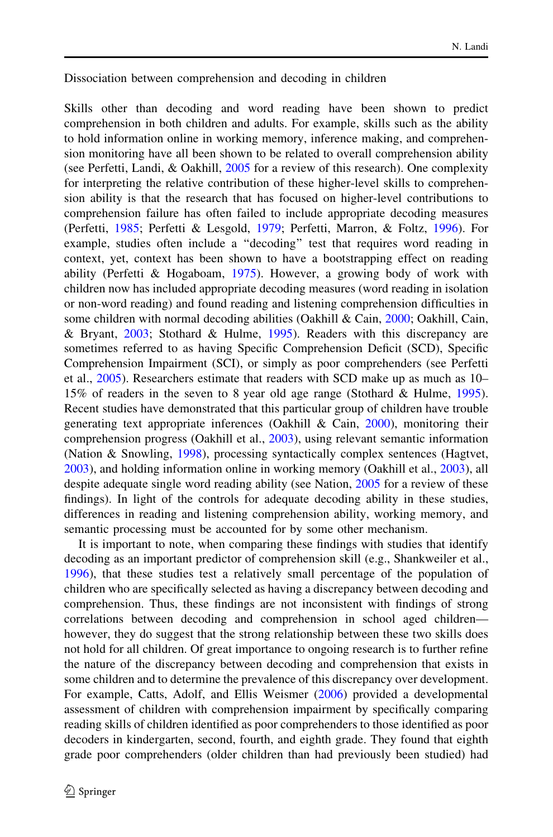Dissociation between comprehension and decoding in children

Skills other than decoding and word reading have been shown to predict comprehension in both children and adults. For example, skills such as the ability to hold information online in working memory, inference making, and comprehension monitoring have all been shown to be related to overall comprehension ability (see Perfetti, Landi, & Oakhill, [2005](#page-16-0) for a review of this research). One complexity for interpreting the relative contribution of these higher-level skills to comprehension ability is that the research that has focused on higher-level contributions to comprehension failure has often failed to include appropriate decoding measures (Perfetti, [1985;](#page-15-0) Perfetti & Lesgold, [1979;](#page-16-0) Perfetti, Marron, & Foltz, [1996](#page-16-0)). For example, studies often include a ''decoding'' test that requires word reading in context, yet, context has been shown to have a bootstrapping effect on reading ability (Perfetti & Hogaboam, [1975\)](#page-16-0). However, a growing body of work with children now has included appropriate decoding measures (word reading in isolation or non-word reading) and found reading and listening comprehension difficulties in some children with normal decoding abilities (Oakhill & Cain, [2000](#page-15-0); Oakhill, Cain, & Bryant, [2003;](#page-15-0) Stothard & Hulme, [1995\)](#page-16-0). Readers with this discrepancy are sometimes referred to as having Specific Comprehension Deficit (SCD), Specific Comprehension Impairment (SCI), or simply as poor comprehenders (see Perfetti et al., [2005\)](#page-16-0). Researchers estimate that readers with SCD make up as much as 10– 15% of readers in the seven to 8 year old age range (Stothard & Hulme, [1995\)](#page-16-0). Recent studies have demonstrated that this particular group of children have trouble generating text appropriate inferences (Oakhill  $\&$  Cain, [2000](#page-15-0)), monitoring their comprehension progress (Oakhill et al., [2003\)](#page-15-0), using relevant semantic information (Nation & Snowling, [1998\)](#page-15-0), processing syntactically complex sentences (Hagtvet, [2003\)](#page-15-0), and holding information online in working memory (Oakhill et al., [2003\)](#page-15-0), all despite adequate single word reading ability (see Nation, [2005](#page-15-0) for a review of these findings). In light of the controls for adequate decoding ability in these studies, differences in reading and listening comprehension ability, working memory, and semantic processing must be accounted for by some other mechanism.

It is important to note, when comparing these findings with studies that identify decoding as an important predictor of comprehension skill (e.g., Shankweiler et al., [1996\)](#page-16-0), that these studies test a relatively small percentage of the population of children who are specifically selected as having a discrepancy between decoding and comprehension. Thus, these findings are not inconsistent with findings of strong correlations between decoding and comprehension in school aged children however, they do suggest that the strong relationship between these two skills does not hold for all children. Of great importance to ongoing research is to further refine the nature of the discrepancy between decoding and comprehension that exists in some children and to determine the prevalence of this discrepancy over development. For example, Catts, Adolf, and Ellis Weismer ([2006\)](#page-14-0) provided a developmental assessment of children with comprehension impairment by specifically comparing reading skills of children identified as poor comprehenders to those identified as poor decoders in kindergarten, second, fourth, and eighth grade. They found that eighth grade poor comprehenders (older children than had previously been studied) had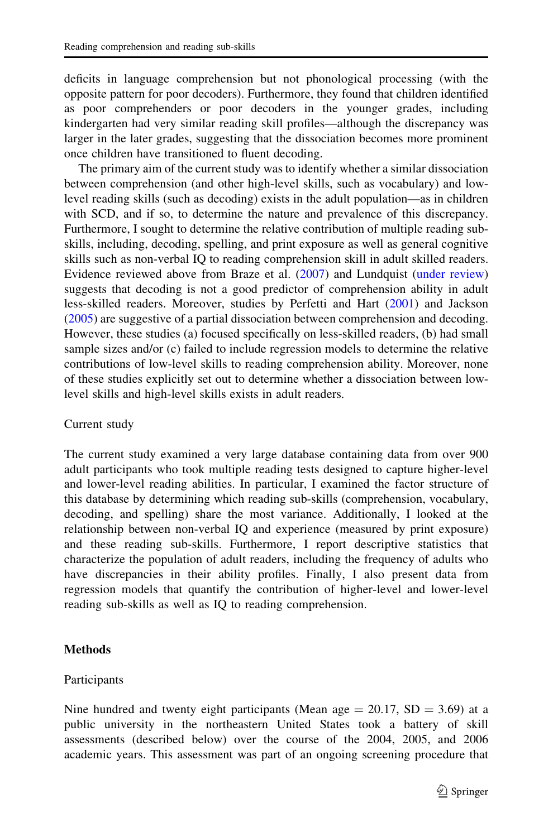deficits in language comprehension but not phonological processing (with the opposite pattern for poor decoders). Furthermore, they found that children identified as poor comprehenders or poor decoders in the younger grades, including kindergarten had very similar reading skill profiles—although the discrepancy was larger in the later grades, suggesting that the dissociation becomes more prominent once children have transitioned to fluent decoding.

The primary aim of the current study was to identify whether a similar dissociation between comprehension (and other high-level skills, such as vocabulary) and lowlevel reading skills (such as decoding) exists in the adult population—as in children with SCD, and if so, to determine the nature and prevalence of this discrepancy. Furthermore, I sought to determine the relative contribution of multiple reading subskills, including, decoding, spelling, and print exposure as well as general cognitive skills such as non-verbal IQ to reading comprehension skill in adult skilled readers. Evidence reviewed above from Braze et al. [\(2007](#page-14-0)) and Lundquist [\(under review\)](#page-15-0) suggests that decoding is not a good predictor of comprehension ability in adult less-skilled readers. Moreover, studies by Perfetti and Hart ([2001\)](#page-16-0) and Jackson [\(2005](#page-15-0)) are suggestive of a partial dissociation between comprehension and decoding. However, these studies (a) focused specifically on less-skilled readers, (b) had small sample sizes and/or (c) failed to include regression models to determine the relative contributions of low-level skills to reading comprehension ability. Moreover, none of these studies explicitly set out to determine whether a dissociation between lowlevel skills and high-level skills exists in adult readers.

#### Current study

The current study examined a very large database containing data from over 900 adult participants who took multiple reading tests designed to capture higher-level and lower-level reading abilities. In particular, I examined the factor structure of this database by determining which reading sub-skills (comprehension, vocabulary, decoding, and spelling) share the most variance. Additionally, I looked at the relationship between non-verbal IQ and experience (measured by print exposure) and these reading sub-skills. Furthermore, I report descriptive statistics that characterize the population of adult readers, including the frequency of adults who have discrepancies in their ability profiles. Finally, I also present data from regression models that quantify the contribution of higher-level and lower-level reading sub-skills as well as IQ to reading comprehension.

#### Methods

#### Participants

Nine hundred and twenty eight participants (Mean age  $= 20.17$ , SD  $= 3.69$ ) at a public university in the northeastern United States took a battery of skill assessments (described below) over the course of the 2004, 2005, and 2006 academic years. This assessment was part of an ongoing screening procedure that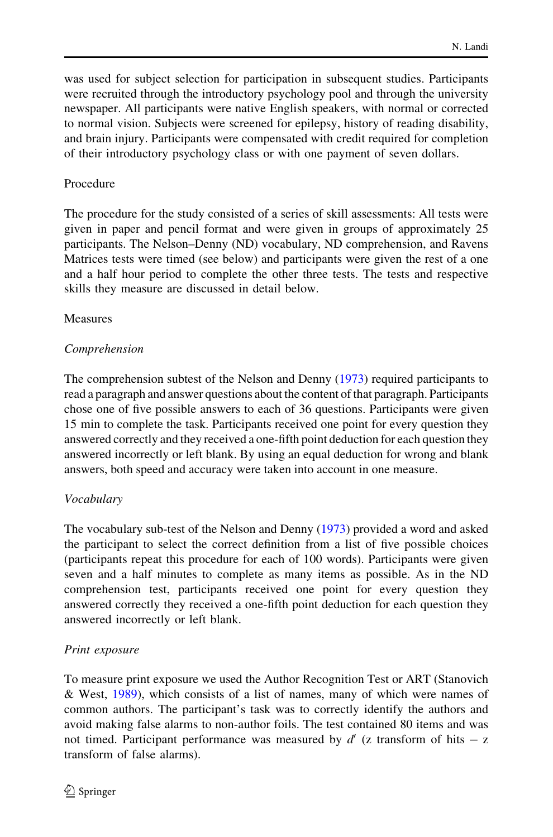was used for subject selection for participation in subsequent studies. Participants were recruited through the introductory psychology pool and through the university newspaper. All participants were native English speakers, with normal or corrected to normal vision. Subjects were screened for epilepsy, history of reading disability, and brain injury. Participants were compensated with credit required for completion of their introductory psychology class or with one payment of seven dollars.

## Procedure

The procedure for the study consisted of a series of skill assessments: All tests were given in paper and pencil format and were given in groups of approximately 25 participants. The Nelson–Denny (ND) vocabulary, ND comprehension, and Ravens Matrices tests were timed (see below) and participants were given the rest of a one and a half hour period to complete the other three tests. The tests and respective skills they measure are discussed in detail below.

## Measures

## Comprehension

The comprehension subtest of the Nelson and Denny ([1973](#page-15-0)) required participants to read a paragraph and answer questions about the content of that paragraph. Participants chose one of five possible answers to each of 36 questions. Participants were given 15 min to complete the task. Participants received one point for every question they answered correctly and they received a one-fifth point deduction for each question they answered incorrectly or left blank. By using an equal deduction for wrong and blank answers, both speed and accuracy were taken into account in one measure.

## Vocabulary

The vocabulary sub-test of the Nelson and Denny [\(1973](#page-15-0)) provided a word and asked the participant to select the correct definition from a list of five possible choices (participants repeat this procedure for each of 100 words). Participants were given seven and a half minutes to complete as many items as possible. As in the ND comprehension test, participants received one point for every question they answered correctly they received a one-fifth point deduction for each question they answered incorrectly or left blank.

## Print exposure

To measure print exposure we used the Author Recognition Test or ART (Stanovich & West, [1989](#page-16-0)), which consists of a list of names, many of which were names of common authors. The participant's task was to correctly identify the authors and avoid making false alarms to non-author foils. The test contained 80 items and was not timed. Participant performance was measured by  $d'$  (z transform of hits  $-z$ transform of false alarms).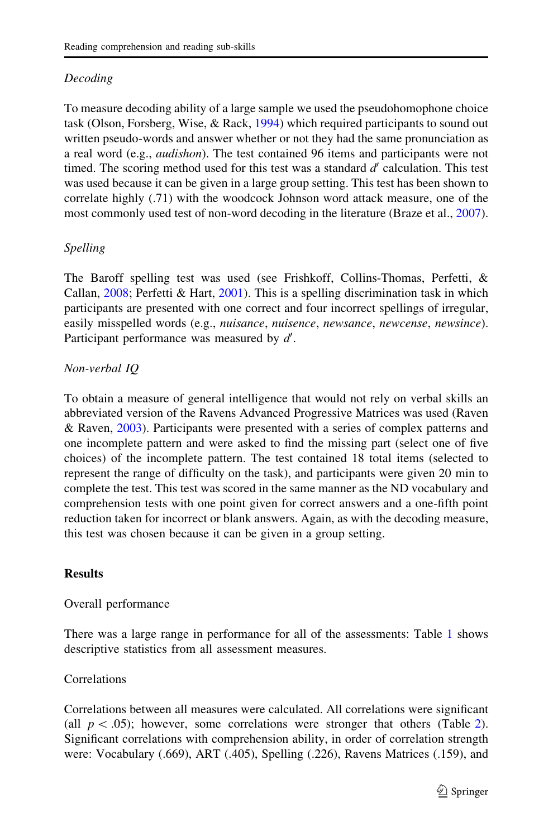## Decoding

To measure decoding ability of a large sample we used the pseudohomophone choice task (Olson, Forsberg, Wise, & Rack, [1994](#page-15-0)) which required participants to sound out written pseudo-words and answer whether or not they had the same pronunciation as a real word (e.g., audishon). The test contained 96 items and participants were not timed. The scoring method used for this test was a standard  $d'$  calculation. This test was used because it can be given in a large group setting. This test has been shown to correlate highly (.71) with the woodcock Johnson word attack measure, one of the most commonly used test of non-word decoding in the literature (Braze et al., [2007\)](#page-14-0).

## Spelling

The Baroff spelling test was used (see Frishkoff, Collins-Thomas, Perfetti, & Callan, [2008](#page-15-0); Perfetti & Hart, [2001\)](#page-16-0). This is a spelling discrimination task in which participants are presented with one correct and four incorrect spellings of irregular, easily misspelled words (e.g., nuisance, nuisence, newsance, newcense, newsince). Participant performance was measured by  $d'$ .

## Non-verbal IQ

To obtain a measure of general intelligence that would not rely on verbal skills an abbreviated version of the Ravens Advanced Progressive Matrices was used (Raven & Raven, [2003\)](#page-16-0). Participants were presented with a series of complex patterns and one incomplete pattern and were asked to find the missing part (select one of five choices) of the incomplete pattern. The test contained 18 total items (selected to represent the range of difficulty on the task), and participants were given 20 min to complete the test. This test was scored in the same manner as the ND vocabulary and comprehension tests with one point given for correct answers and a one-fifth point reduction taken for incorrect or blank answers. Again, as with the decoding measure, this test was chosen because it can be given in a group setting.

## Results

## Overall performance

There was a large range in performance for all of the assessments: Table [1](#page-7-0) shows descriptive statistics from all assessment measures.

## Correlations

Correlations between all measures were calculated. All correlations were significant (all  $p < .05$ ); however, some correlations were stronger that others (Table [2\)](#page-7-0). Significant correlations with comprehension ability, in order of correlation strength were: Vocabulary (.669), ART (.405), Spelling (.226), Ravens Matrices (.159), and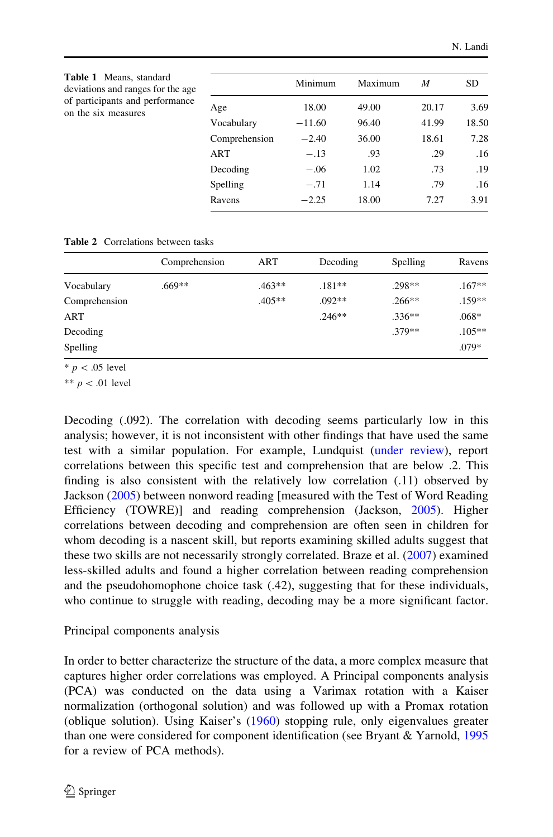|               | Minimum  | Maximum | M     | <b>SD</b> |
|---------------|----------|---------|-------|-----------|
| Age           | 18.00    | 49.00   | 20.17 | 3.69      |
| Vocabulary    | $-11.60$ | 96.40   | 41.99 | 18.50     |
| Comprehension | $-2.40$  | 36.00   | 18.61 | 7.28      |
| ART           | $-.13$   | .93     | .29   | .16       |
| Decoding      | $-.06$   | 1.02    | .73   | .19       |
| Spelling      | $-.71$   | 1.14    | .79   | .16       |
| Ravens        | $-2.25$  | 18.00   | 7.27  | 3.91      |
|               |          |         |       |           |

#### Table 2 Correlations between tasks

|               | Comprehension | ART      | Decoding | Spelling | Ravens   |
|---------------|---------------|----------|----------|----------|----------|
| Vocabulary    | $.669**$      | $.463**$ | $.181**$ | .298**   | $.167**$ |
| Comprehension |               | $.405**$ | $.092**$ | $.266**$ | .159**   |
| ART           |               |          | $.246**$ | $.336**$ | .068*    |
| Decoding      |               |          |          | .379**   | $.105**$ |
| Spelling      |               |          |          |          | .079*    |

 $* p < .05$  level

\*\*  $p < .01$  level

Decoding (.092). The correlation with decoding seems particularly low in this analysis; however, it is not inconsistent with other findings that have used the same test with a similar population. For example, Lundquist ([under review](#page-15-0)), report correlations between this specific test and comprehension that are below .2. This finding is also consistent with the relatively low correlation (.11) observed by Jackson [\(2005](#page-15-0)) between nonword reading [measured with the Test of Word Reading Efficiency (TOWRE)] and reading comprehension (Jackson, [2005](#page-15-0)). Higher correlations between decoding and comprehension are often seen in children for whom decoding is a nascent skill, but reports examining skilled adults suggest that these two skills are not necessarily strongly correlated. Braze et al. ([2007\)](#page-14-0) examined less-skilled adults and found a higher correlation between reading comprehension and the pseudohomophone choice task (.42), suggesting that for these individuals, who continue to struggle with reading, decoding may be a more significant factor.

#### Principal components analysis

<span id="page-7-0"></span>In order to better characterize the structure of the data, a more complex measure that captures higher order correlations was employed. A Principal components analysis (PCA) was conducted on the data using a Varimax rotation with a Kaiser normalization (orthogonal solution) and was followed up with a Promax rotation (oblique solution). Using Kaiser's [\(1960](#page-15-0)) stopping rule, only eigenvalues greater than one were considered for component identification (see Bryant & Yarnold, [1995](#page-14-0) for a review of PCA methods).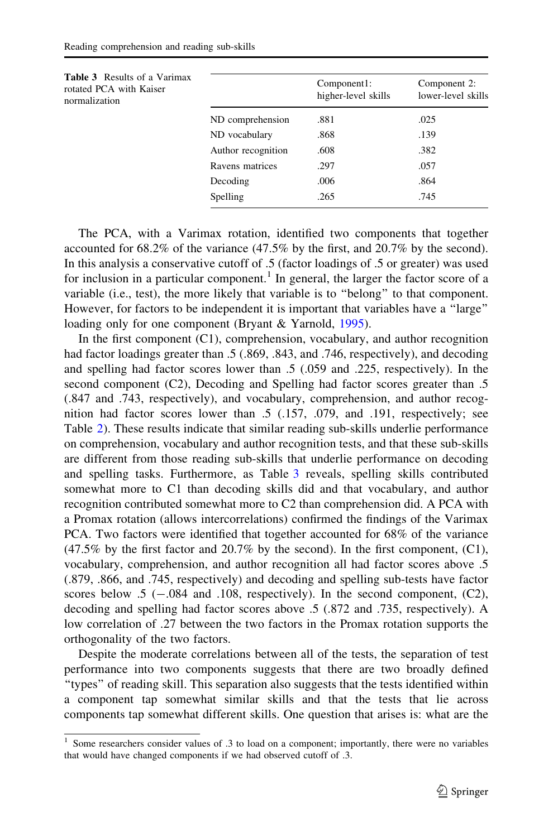| <b>Table 3</b> Results of a Varimax<br>rotated PCA with Kaiser<br>normalization |                    | Component1:<br>higher-level skills | Component 2:<br>lower-level skills |
|---------------------------------------------------------------------------------|--------------------|------------------------------------|------------------------------------|
|                                                                                 | ND comprehension   | .881                               | .025                               |
|                                                                                 | ND vocabulary      | .868                               | .139                               |
|                                                                                 | Author recognition | .608                               | .382                               |
|                                                                                 | Ravens matrices    | .297                               | .057                               |
|                                                                                 | Decoding           | .006                               | .864                               |
|                                                                                 | Spelling           | .265                               | .745                               |

The PCA, with a Varimax rotation, identified two components that together accounted for 68.2% of the variance (47.5% by the first, and 20.7% by the second). In this analysis a conservative cutoff of .5 (factor loadings of .5 or greater) was used for inclusion in a particular component.<sup>1</sup> In general, the larger the factor score of a variable (i.e., test), the more likely that variable is to ''belong'' to that component. However, for factors to be independent it is important that variables have a ''large'' loading only for one component (Bryant & Yarnold, [1995\)](#page-14-0).

In the first component (C1), comprehension, vocabulary, and author recognition had factor loadings greater than .5 (.869, .843, and .746, respectively), and decoding and spelling had factor scores lower than .5 (.059 and .225, respectively). In the second component (C2), Decoding and Spelling had factor scores greater than .5 (.847 and .743, respectively), and vocabulary, comprehension, and author recognition had factor scores lower than .5 (.157, .079, and .191, respectively; see Table [2](#page-7-0)). These results indicate that similar reading sub-skills underlie performance on comprehension, vocabulary and author recognition tests, and that these sub-skills are different from those reading sub-skills that underlie performance on decoding and spelling tasks. Furthermore, as Table [3](#page-8-0) reveals, spelling skills contributed somewhat more to C1 than decoding skills did and that vocabulary, and author recognition contributed somewhat more to C2 than comprehension did. A PCA with a Promax rotation (allows intercorrelations) confirmed the findings of the Varimax PCA. Two factors were identified that together accounted for 68% of the variance  $(47.5\%$  by the first factor and  $20.7\%$  by the second). In the first component, (C1), vocabulary, comprehension, and author recognition all had factor scores above .5 (.879, .866, and .745, respectively) and decoding and spelling sub-tests have factor scores below .5  $(-.084$  and .108, respectively). In the second component,  $(C2)$ , decoding and spelling had factor scores above .5 (.872 and .735, respectively). A low correlation of .27 between the two factors in the Promax rotation supports the orthogonality of the two factors.

Despite the moderate correlations between all of the tests, the separation of test performance into two components suggests that there are two broadly defined ''types'' of reading skill. This separation also suggests that the tests identified within a component tap somewhat similar skills and that the tests that lie across components tap somewhat different skills. One question that arises is: what are the

<span id="page-8-0"></span><sup>1</sup> Some researchers consider values of .3 to load on a component; importantly, there were no variables that would have changed components if we had observed cutoff of .3.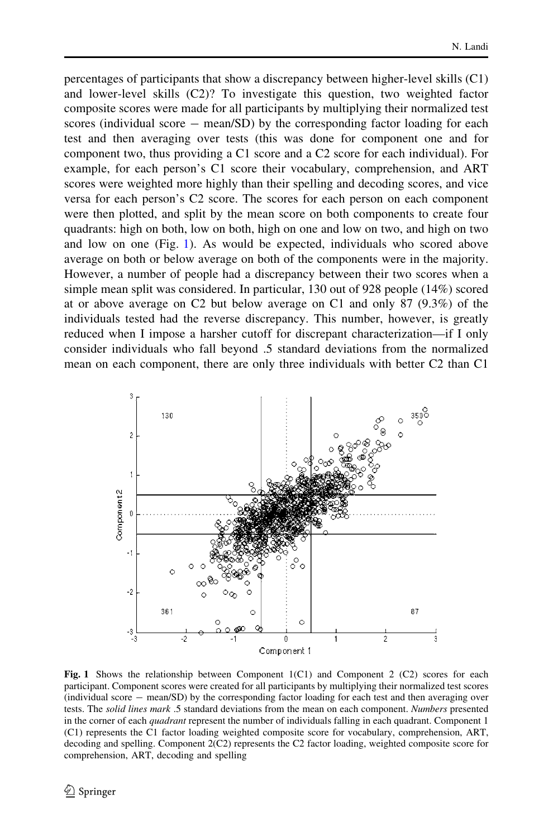percentages of participants that show a discrepancy between higher-level skills (C1) and lower-level skills (C2)? To investigate this question, two weighted factor composite scores were made for all participants by multiplying their normalized test scores (individual score  $-$  mean/SD) by the corresponding factor loading for each test and then averaging over tests (this was done for component one and for component two, thus providing a C1 score and a C2 score for each individual). For example, for each person's C1 score their vocabulary, comprehension, and ART scores were weighted more highly than their spelling and decoding scores, and vice versa for each person's C2 score. The scores for each person on each component were then plotted, and split by the mean score on both components to create four quadrants: high on both, low on both, high on one and low on two, and high on two and low on one (Fig. [1\)](#page-9-0). As would be expected, individuals who scored above average on both or below average on both of the components were in the majority. However, a number of people had a discrepancy between their two scores when a simple mean split was considered. In particular, 130 out of 928 people (14%) scored at or above average on C2 but below average on C1 and only 87 (9.3%) of the individuals tested had the reverse discrepancy. This number, however, is greatly reduced when I impose a harsher cutoff for discrepant characterization—if I only consider individuals who fall beyond .5 standard deviations from the normalized mean on each component, there are only three individuals with better C2 than C1



<span id="page-9-0"></span>Fig. 1 Shows the relationship between Component  $1(C1)$  and Component 2 (C2) scores for each participant. Component scores were created for all participants by multiplying their normalized test scores  $(individual score - mean/SD)$  by the corresponding factor loading for each test and then averaging over tests. The solid lines mark .5 standard deviations from the mean on each component. Numbers presented in the corner of each *quadrant* represent the number of individuals falling in each quadrant. Component 1 (C1) represents the C1 factor loading weighted composite score for vocabulary, comprehension, ART, decoding and spelling. Component 2(C2) represents the C2 factor loading, weighted composite score for comprehension, ART, decoding and spelling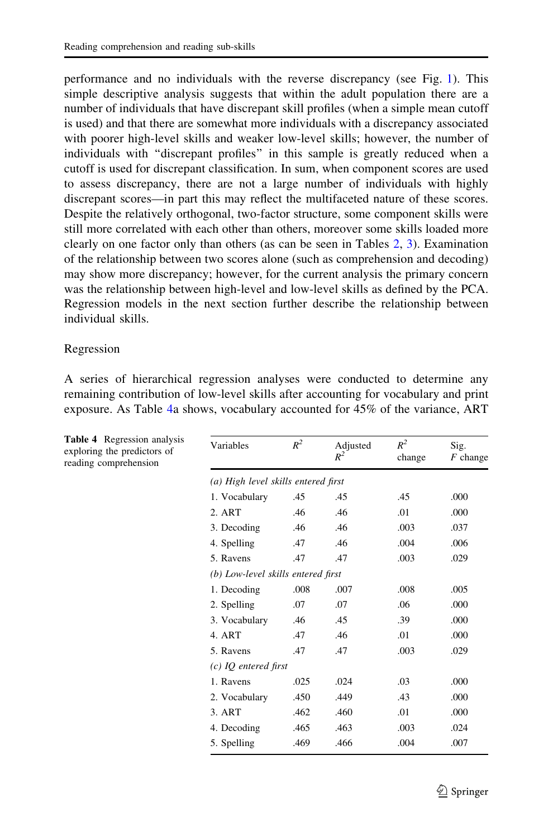performance and no individuals with the reverse discrepancy (see Fig. [1](#page-9-0)). This simple descriptive analysis suggests that within the adult population there are a number of individuals that have discrepant skill profiles (when a simple mean cutoff is used) and that there are somewhat more individuals with a discrepancy associated with poorer high-level skills and weaker low-level skills; however, the number of individuals with ''discrepant profiles'' in this sample is greatly reduced when a cutoff is used for discrepant classification. In sum, when component scores are used to assess discrepancy, there are not a large number of individuals with highly discrepant scores—in part this may reflect the multifaceted nature of these scores. Despite the relatively orthogonal, two-factor structure, some component skills were still more correlated with each other than others, moreover some skills loaded more clearly on one factor only than others (as can be seen in Tables [2,](#page-7-0) [3](#page-8-0)). Examination of the relationship between two scores alone (such as comprehension and decoding) may show more discrepancy; however, for the current analysis the primary concern was the relationship between high-level and low-level skills as defined by the PCA. Regression models in the next section further describe the relationship between individual skills.

#### Regression

A series of hierarchical regression analyses were conducted to determine any remaining contribution of low-level skills after accounting for vocabulary and print exposure. As Table [4a](#page-10-0) shows, vocabulary accounted for 45% of the variance, ART

| Variables                           | $R^2$ | Adjusted<br>$R^2$ | $R^2$<br>change | Sig.<br>$F$ change |
|-------------------------------------|-------|-------------------|-----------------|--------------------|
| (a) High level skills entered first |       |                   |                 |                    |
| 1. Vocabulary                       | .45   | .45               | .45             | .000               |
| 2. ART                              | .46   | .46               | .01             | .000               |
| 3. Decoding                         | .46   | .46               | .003            | .037               |
| 4. Spelling                         | .47   | .46               | .004            | .006               |
| 5. Ravens                           | .47   | .47               | .003            | .029               |
| (b) Low-level skills entered first  |       |                   |                 |                    |
| 1. Decoding                         | .008  | .007              | .008            | .005               |
| 2. Spelling                         | .07   | .07               | .06             | .000               |
| 3. Vocabulary                       | .46   | .45               | .39             | .000               |
| 4. ART                              | .47   | .46               | .01             | .000               |
| 5. Ravens                           | .47   | .47               | .003            | .029               |
| $(c)$ IQ entered first              |       |                   |                 |                    |
| 1. Ravens                           | .025  | .024              | .03             | .000               |
| 2. Vocabulary                       | .450  | .449              | .43             | .000               |
| 3. ART                              | .462  | .460              | .01             | .000               |
| 4. Decoding                         | .465  | .463              | .003            | .024               |
| 5. Spelling                         | .469  | .466              | .004            | .007               |

<span id="page-10-0"></span>Table 4 Regression analysis exploring the predictors of reading comprehension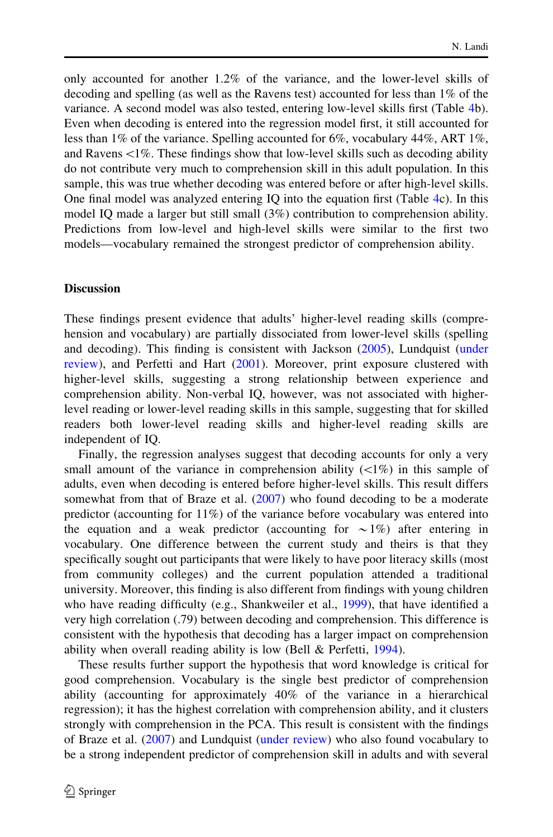only accounted for another 1.2% of the variance, and the lower-level skills of decoding and spelling (as well as the Ravens test) accounted for less than 1% of the variance. A second model was also tested, entering low-level skills first (Table [4b](#page-10-0)). Even when decoding is entered into the regression model first, it still accounted for less than  $1\%$  of the variance. Spelling accounted for 6%, vocabulary 44%, ART  $1\%$ , and Ravens  $\langle 1\% \rangle$ . These findings show that low-level skills such as decoding ability do not contribute very much to comprehension skill in this adult population. In this sample, this was true whether decoding was entered before or after high-level skills. One final model was analyzed entering IQ into the equation first (Table [4](#page-10-0)c). In this model IQ made a larger but still small (3%) contribution to comprehension ability. Predictions from low-level and high-level skills were similar to the first two models—vocabulary remained the strongest predictor of comprehension ability.

#### **Discussion**

These findings present evidence that adults' higher-level reading skills (comprehension and vocabulary) are partially dissociated from lower-level skills (spelling and decoding). This finding is consistent with Jackson [\(2005](#page-15-0)), Lundquist ([under](#page-15-0) [review](#page-15-0)), and Perfetti and Hart ([2001\)](#page-16-0). Moreover, print exposure clustered with higher-level skills, suggesting a strong relationship between experience and comprehension ability. Non-verbal IQ, however, was not associated with higherlevel reading or lower-level reading skills in this sample, suggesting that for skilled readers both lower-level reading skills and higher-level reading skills are independent of IQ.

Finally, the regression analyses suggest that decoding accounts for only a very small amount of the variance in comprehension ability  $(\langle 1\% \rangle)$  in this sample of adults, even when decoding is entered before higher-level skills. This result differs somewhat from that of Braze et al. ([2007](#page-14-0)) who found decoding to be a moderate predictor (accounting for 11%) of the variance before vocabulary was entered into the equation and a weak predictor (accounting for  $\sim$ 1%) after entering in vocabulary. One difference between the current study and theirs is that they specifically sought out participants that were likely to have poor literacy skills (most from community colleges) and the current population attended a traditional university. Moreover, this finding is also different from findings with young children who have reading difficulty (e.g., Shankweiler et al., [1999](#page-16-0)), that have identified a very high correlation (.79) between decoding and comprehension. This difference is consistent with the hypothesis that decoding has a larger impact on comprehension ability when overall reading ability is low (Bell & Perfetti, [1994\)](#page-14-0).

These results further support the hypothesis that word knowledge is critical for good comprehension. Vocabulary is the single best predictor of comprehension ability (accounting for approximately 40% of the variance in a hierarchical regression); it has the highest correlation with comprehension ability, and it clusters strongly with comprehension in the PCA. This result is consistent with the findings of Braze et al. ([2007\)](#page-14-0) and Lundquist ([under review](#page-15-0)) who also found vocabulary to be a strong independent predictor of comprehension skill in adults and with several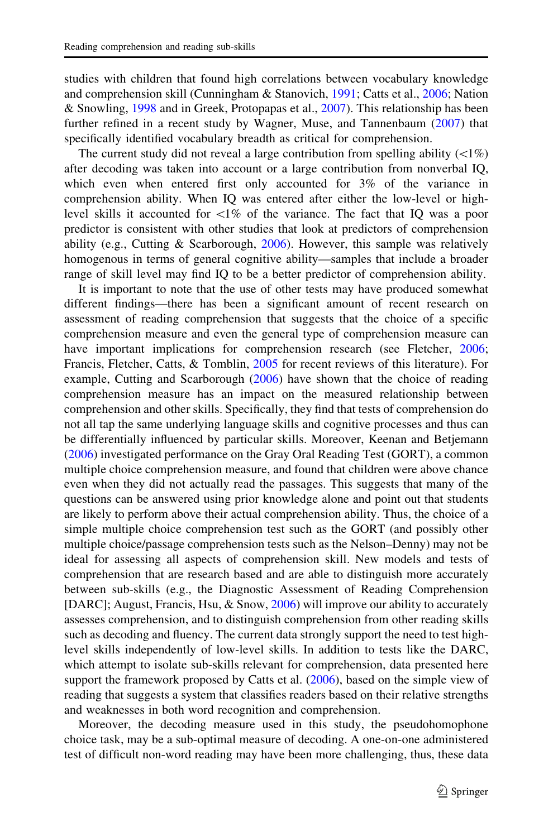studies with children that found high correlations between vocabulary knowledge and comprehension skill (Cunningham & Stanovich, [1991](#page-15-0); Catts et al., [2006;](#page-14-0) Nation & Snowling, [1998](#page-15-0) and in Greek, Protopapas et al., [2007](#page-16-0)). This relationship has been further refined in a recent study by Wagner, Muse, and Tannenbaum [\(2007](#page-16-0)) that specifically identified vocabulary breadth as critical for comprehension.

The current study did not reveal a large contribution from spelling ability  $(\langle 1\% \rangle)$ after decoding was taken into account or a large contribution from nonverbal IQ, which even when entered first only accounted for 3% of the variance in comprehension ability. When IQ was entered after either the low-level or highlevel skills it accounted for  $\langle 1\% \rangle$  of the variance. The fact that IQ was a poor predictor is consistent with other studies that look at predictors of comprehension ability (e.g., Cutting  $\&$  Scarborough, [2006\)](#page-15-0). However, this sample was relatively homogenous in terms of general cognitive ability—samples that include a broader range of skill level may find IQ to be a better predictor of comprehension ability.

It is important to note that the use of other tests may have produced somewhat different findings—there has been a significant amount of recent research on assessment of reading comprehension that suggests that the choice of a specific comprehension measure and even the general type of comprehension measure can have important implications for comprehension research (see Fletcher, [2006;](#page-15-0) Francis, Fletcher, Catts, & Tomblin, [2005](#page-15-0) for recent reviews of this literature). For example, Cutting and Scarborough ([2006\)](#page-15-0) have shown that the choice of reading comprehension measure has an impact on the measured relationship between comprehension and other skills. Specifically, they find that tests of comprehension do not all tap the same underlying language skills and cognitive processes and thus can be differentially influenced by particular skills. Moreover, Keenan and Betjemann [\(2006](#page-15-0)) investigated performance on the Gray Oral Reading Test (GORT), a common multiple choice comprehension measure, and found that children were above chance even when they did not actually read the passages. This suggests that many of the questions can be answered using prior knowledge alone and point out that students are likely to perform above their actual comprehension ability. Thus, the choice of a simple multiple choice comprehension test such as the GORT (and possibly other multiple choice/passage comprehension tests such as the Nelson–Denny) may not be ideal for assessing all aspects of comprehension skill. New models and tests of comprehension that are research based and are able to distinguish more accurately between sub-skills (e.g., the Diagnostic Assessment of Reading Comprehension [DARC]; August, Francis, Hsu, & Snow, [2006](#page-14-0)) will improve our ability to accurately assesses comprehension, and to distinguish comprehension from other reading skills such as decoding and fluency. The current data strongly support the need to test highlevel skills independently of low-level skills. In addition to tests like the DARC, which attempt to isolate sub-skills relevant for comprehension, data presented here support the framework proposed by Catts et al. ([2006\)](#page-14-0), based on the simple view of reading that suggests a system that classifies readers based on their relative strengths and weaknesses in both word recognition and comprehension.

Moreover, the decoding measure used in this study, the pseudohomophone choice task, may be a sub-optimal measure of decoding. A one-on-one administered test of difficult non-word reading may have been more challenging, thus, these data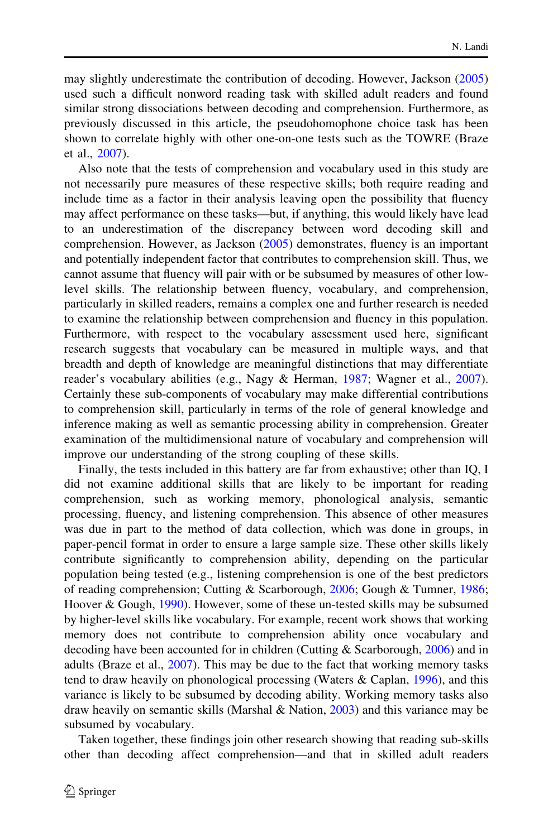may slightly underestimate the contribution of decoding. However, Jackson [\(2005\)](#page-15-0) used such a difficult nonword reading task with skilled adult readers and found similar strong dissociations between decoding and comprehension. Furthermore, as previously discussed in this article, the pseudohomophone choice task has been shown to correlate highly with other one-on-one tests such as the TOWRE (Braze et al., [2007](#page-14-0)).

Also note that the tests of comprehension and vocabulary used in this study are not necessarily pure measures of these respective skills; both require reading and include time as a factor in their analysis leaving open the possibility that fluency may affect performance on these tasks—but, if anything, this would likely have lead to an underestimation of the discrepancy between word decoding skill and comprehension. However, as Jackson ([2005](#page-15-0)) demonstrates, fluency is an important and potentially independent factor that contributes to comprehension skill. Thus, we cannot assume that fluency will pair with or be subsumed by measures of other lowlevel skills. The relationship between fluency, vocabulary, and comprehension, particularly in skilled readers, remains a complex one and further research is needed to examine the relationship between comprehension and fluency in this population. Furthermore, with respect to the vocabulary assessment used here, significant research suggests that vocabulary can be measured in multiple ways, and that breadth and depth of knowledge are meaningful distinctions that may differentiate reader's vocabulary abilities (e.g., Nagy & Herman, [1987](#page-15-0); Wagner et al., [2007\)](#page-16-0). Certainly these sub-components of vocabulary may make differential contributions to comprehension skill, particularly in terms of the role of general knowledge and inference making as well as semantic processing ability in comprehension. Greater examination of the multidimensional nature of vocabulary and comprehension will improve our understanding of the strong coupling of these skills.

Finally, the tests included in this battery are far from exhaustive; other than IQ, I did not examine additional skills that are likely to be important for reading comprehension, such as working memory, phonological analysis, semantic processing, fluency, and listening comprehension. This absence of other measures was due in part to the method of data collection, which was done in groups, in paper-pencil format in order to ensure a large sample size. These other skills likely contribute significantly to comprehension ability, depending on the particular population being tested (e.g., listening comprehension is one of the best predictors of reading comprehension; Cutting & Scarborough, [2006](#page-15-0); Gough & Tumner, [1986;](#page-15-0) Hoover & Gough, [1990\)](#page-15-0). However, some of these un-tested skills may be subsumed by higher-level skills like vocabulary. For example, recent work shows that working memory does not contribute to comprehension ability once vocabulary and decoding have been accounted for in children (Cutting & Scarborough, [2006\)](#page-15-0) and in adults (Braze et al., [2007](#page-14-0)). This may be due to the fact that working memory tasks tend to draw heavily on phonological processing (Waters & Caplan, [1996](#page-16-0)), and this variance is likely to be subsumed by decoding ability. Working memory tasks also draw heavily on semantic skills (Marshal & Nation,  $2003$ ) and this variance may be subsumed by vocabulary.

Taken together, these findings join other research showing that reading sub-skills other than decoding affect comprehension—and that in skilled adult readers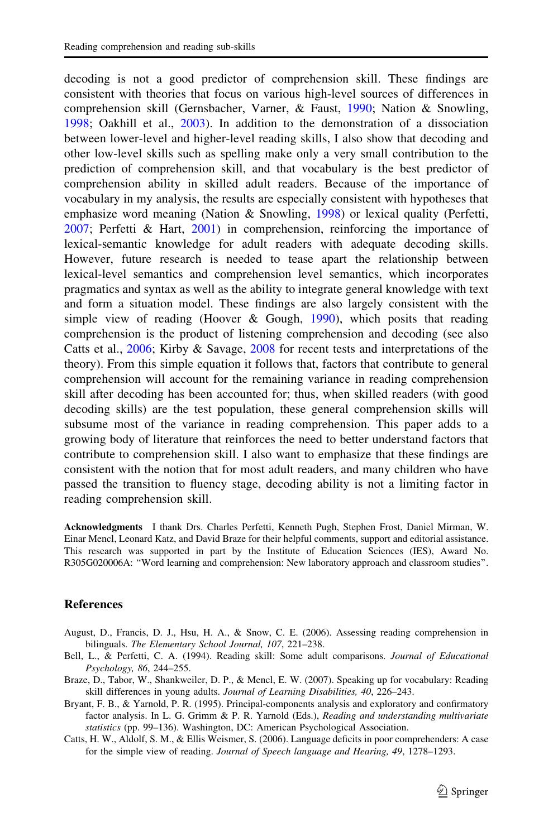decoding is not a good predictor of comprehension skill. These findings are consistent with theories that focus on various high-level sources of differences in comprehension skill (Gernsbacher, Varner, & Faust, [1990;](#page-15-0) Nation & Snowling, [1998;](#page-15-0) Oakhill et al., [2003](#page-15-0)). In addition to the demonstration of a dissociation between lower-level and higher-level reading skills, I also show that decoding and other low-level skills such as spelling make only a very small contribution to the prediction of comprehension skill, and that vocabulary is the best predictor of comprehension ability in skilled adult readers. Because of the importance of vocabulary in my analysis, the results are especially consistent with hypotheses that emphasize word meaning (Nation & Snowling, [1998\)](#page-15-0) or lexical quality (Perfetti, [2007;](#page-15-0) Perfetti & Hart, [2001](#page-16-0)) in comprehension, reinforcing the importance of lexical-semantic knowledge for adult readers with adequate decoding skills. However, future research is needed to tease apart the relationship between lexical-level semantics and comprehension level semantics, which incorporates pragmatics and syntax as well as the ability to integrate general knowledge with text and form a situation model. These findings are also largely consistent with the simple view of reading (Hoover  $\&$  Gough, [1990\)](#page-15-0), which posits that reading comprehension is the product of listening comprehension and decoding (see also Catts et al., [2006;](#page-14-0) Kirby & Savage, [2008](#page-15-0) for recent tests and interpretations of the theory). From this simple equation it follows that, factors that contribute to general comprehension will account for the remaining variance in reading comprehension skill after decoding has been accounted for; thus, when skilled readers (with good decoding skills) are the test population, these general comprehension skills will subsume most of the variance in reading comprehension. This paper adds to a growing body of literature that reinforces the need to better understand factors that contribute to comprehension skill. I also want to emphasize that these findings are consistent with the notion that for most adult readers, and many children who have passed the transition to fluency stage, decoding ability is not a limiting factor in reading comprehension skill.

Acknowledgments I thank Drs. Charles Perfetti, Kenneth Pugh, Stephen Frost, Daniel Mirman, W. Einar Mencl, Leonard Katz, and David Braze for their helpful comments, support and editorial assistance. This research was supported in part by the Institute of Education Sciences (IES), Award No. R305G020006A: ''Word learning and comprehension: New laboratory approach and classroom studies''.

#### References

- August, D., Francis, D. J., Hsu, H. A., & Snow, C. E. (2006). Assessing reading comprehension in bilinguals. The Elementary School Journal, 107, 221–238.
- Bell, L., & Perfetti, C. A. (1994). Reading skill: Some adult comparisons. Journal of Educational Psychology, 86, 244–255.
- Braze, D., Tabor, W., Shankweiler, D. P., & Mencl, E. W. (2007). Speaking up for vocabulary: Reading skill differences in young adults. Journal of Learning Disabilities, 40, 226–243.
- Bryant, F. B., & Yarnold, P. R. (1995). Principal-components analysis and exploratory and confirmatory factor analysis. In L. G. Grimm & P. R. Yarnold (Eds.), Reading and understanding multivariate statistics (pp. 99–136). Washington, DC: American Psychological Association.
- <span id="page-14-0"></span>Catts, H. W., Aldolf, S. M., & Ellis Weismer, S. (2006). Language deficits in poor comprehenders: A case for the simple view of reading. Journal of Speech language and Hearing, 49, 1278–1293.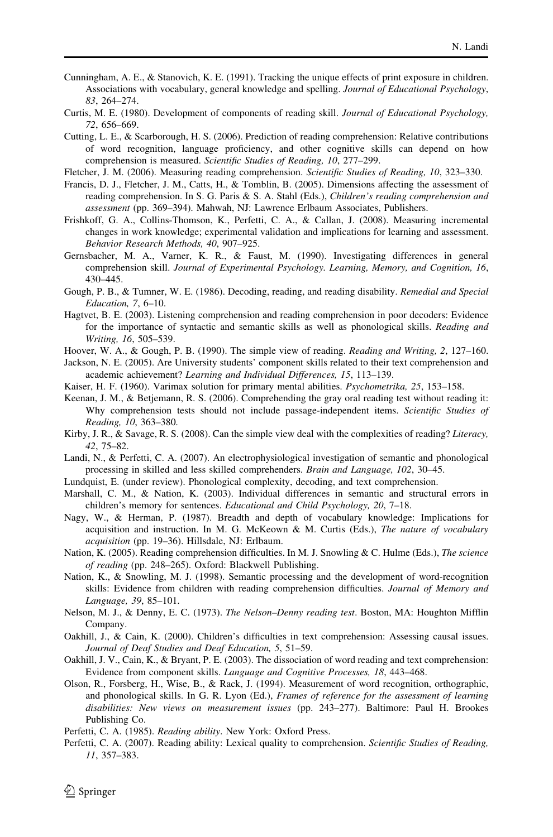- Cunningham, A. E., & Stanovich, K. E. (1991). Tracking the unique effects of print exposure in children. Associations with vocabulary, general knowledge and spelling. Journal of Educational Psychology, 83, 264–274.
- Curtis, M. E. (1980). Development of components of reading skill. Journal of Educational Psychology, 72, 656–669.
- Cutting, L. E., & Scarborough, H. S. (2006). Prediction of reading comprehension: Relative contributions of word recognition, language proficiency, and other cognitive skills can depend on how comprehension is measured. Scientific Studies of Reading, 10, 277–299.

Fletcher, J. M. (2006). Measuring reading comprehension. Scientific Studies of Reading, 10, 323–330.

- Francis, D. J., Fletcher, J. M., Catts, H., & Tomblin, B. (2005). Dimensions affecting the assessment of reading comprehension. In S. G. Paris & S. A. Stahl (Eds.), Children's reading comprehension and assessment (pp. 369–394). Mahwah, NJ: Lawrence Erlbaum Associates, Publishers.
- Frishkoff, G. A., Collins-Thomson, K., Perfetti, C. A., & Callan, J. (2008). Measuring incremental changes in work knowledge; experimental validation and implications for learning and assessment. Behavior Research Methods, 40, 907–925.
- Gernsbacher, M. A., Varner, K. R., & Faust, M. (1990). Investigating differences in general comprehension skill. Journal of Experimental Psychology. Learning, Memory, and Cognition, 16, 430–445.
- Gough, P. B., & Tumner, W. E. (1986). Decoding, reading, and reading disability. Remedial and Special Education, 7, 6–10.
- Hagtvet, B. E. (2003). Listening comprehension and reading comprehension in poor decoders: Evidence for the importance of syntactic and semantic skills as well as phonological skills. Reading and Writing, 16, 505–539.
- Hoover, W. A., & Gough, P. B. (1990). The simple view of reading. Reading and Writing, 2, 127–160.
- Jackson, N. E. (2005). Are University students' component skills related to their text comprehension and academic achievement? Learning and Individual Differences, 15, 113–139.
- Kaiser, H. F. (1960). Varimax solution for primary mental abilities. Psychometrika, 25, 153–158.
- Keenan, J. M., & Betjemann, R. S. (2006). Comprehending the gray oral reading test without reading it: Why comprehension tests should not include passage-independent items. Scientific Studies of Reading, 10, 363–380.
- Kirby, J. R., & Savage, R. S. (2008). Can the simple view deal with the complexities of reading? Literacy, 42, 75–82.
- Landi, N., & Perfetti, C. A. (2007). An electrophysiological investigation of semantic and phonological processing in skilled and less skilled comprehenders. Brain and Language, 102, 30–45.
- Lundquist, E. (under review). Phonological complexity, decoding, and text comprehension.
- Marshall, C. M., & Nation, K. (2003). Individual differences in semantic and structural errors in children's memory for sentences. Educational and Child Psychology, 20, 7–18.
- Nagy, W., & Herman, P. (1987). Breadth and depth of vocabulary knowledge: Implications for acquisition and instruction. In M. G. McKeown & M. Curtis (Eds.), The nature of vocabulary acquisition (pp. 19–36). Hillsdale, NJ: Erlbaum.
- Nation, K. (2005). Reading comprehension difficulties. In M. J. Snowling & C. Hulme (Eds.), The science of reading (pp. 248–265). Oxford: Blackwell Publishing.
- Nation, K., & Snowling, M. J. (1998). Semantic processing and the development of word-recognition skills: Evidence from children with reading comprehension difficulties. Journal of Memory and Language, 39, 85–101.
- Nelson, M. J., & Denny, E. C. (1973). The Nelson-Denny reading test. Boston, MA: Houghton Mifflin Company.
- Oakhill, J., & Cain, K. (2000). Children's difficulties in text comprehension: Assessing causal issues. Journal of Deaf Studies and Deaf Education, 5, 51–59.
- Oakhill, J. V., Cain, K., & Bryant, P. E. (2003). The dissociation of word reading and text comprehension: Evidence from component skills. Language and Cognitive Processes, 18, 443–468.
- Olson, R., Forsberg, H., Wise, B., & Rack, J. (1994). Measurement of word recognition, orthographic, and phonological skills. In G. R. Lyon (Ed.), Frames of reference for the assessment of learning disabilities: New views on measurement issues (pp. 243–277). Baltimore: Paul H. Brookes Publishing Co.
- Perfetti, C. A. (1985). Reading ability. New York: Oxford Press.
- <span id="page-15-0"></span>Perfetti, C. A. (2007). Reading ability: Lexical quality to comprehension. Scientific Studies of Reading, 11, 357–383.